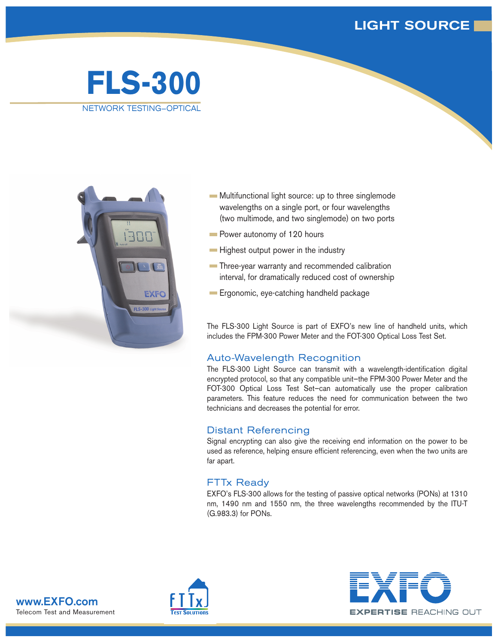## **LIGHT SOURCE**

# **FLS-300** NETWORK TESTING—OPTICAL



- **Multifunctional light source: up to three singlemode** wavelengths on a single port, or four wavelengths (two multimode, and two singlemode) on two ports
- **Power autonomy of 120 hours**
- **Highest output power in the industry**
- **Three-year warranty and recommended calibration** interval, for dramatically reduced cost of ownership
- **Ergonomic, eye-catching handheld package**

The FLS-300 Light Source is part of EXFO's new line of handheld units, which includes the FPM-300 Power Meter and the FOT-300 Optical Loss Test Set.

## Auto-Wavelength Recognition

The FLS-300 Light Source can transmit with a wavelength-identification digital encrypted protocol, so that any compatible unit—the FPM-300 Power Meter and the FOT-300 Optical Loss Test Set—can automatically use the proper calibration parameters. This feature reduces the need for communication between the two technicians and decreases the potential for error.

## Distant Referencing

Signal encrypting can also give the receiving end information on the power to be used as reference, helping ensure efficient referencing, even when the two units are far apart.

## FTTx Ready

EXFO's FLS-300 allows for the testing of passive optical networks (PONs) at 1310 nm, 1490 nm and 1550 nm, the three wavelengths recommended by the ITU-T (G.983.3) for PONs.